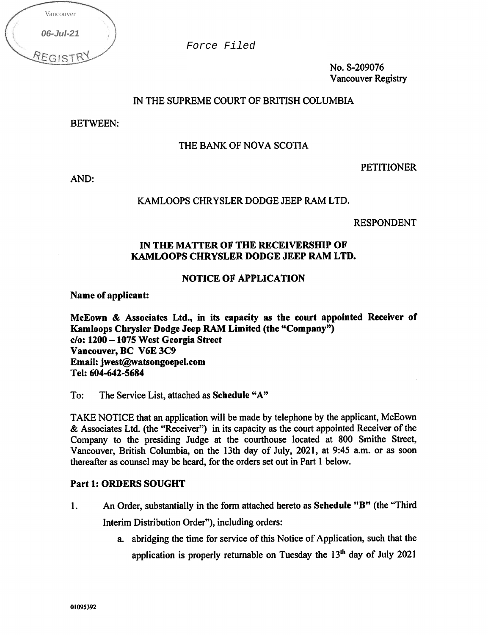| Vancouver |  |
|-----------|--|
| 06-Jul-21 |  |
| REGIST    |  |

No. S-209076 Vancouver Registry

# IN THE SUPREME COURT OF BRITISH COLUMBIA

BETWEEN:

# THE BANK OF NOVA SCOTIA

**PETITIONER** 

AND:

# KAMLOOPS CHRYSLER DODGE JEEP RAM LTD.

RESPONDENT

# IN THE MATTER OF THE RECEIVERSHIP OF KAMLOOPS CHRYSLER DODGE JEEP RAM LTD.

# NOTICE OF APPLICATION

Name of applicant:

McEown & Associates Ltd., in its capacity as the court appointed Receiver of Kamloops Chrysler Dodge Jeep RAM Limited (the "Company")  $c/o: 1200 - 1075$  West Georgia Street Vancouver, BC V6E 3C9 Email: jwest@watsongoepel.com Tel: 604-642-5684 Force Filed<br>
Force Filed<br>
Force Filed<br> **EGISTRY**<br> **IN THE SUPREME COURT O<br>
<b>BETWEEN:**<br> **IN THE BANK OF NC<br>
<b>IN THE MATTER OF THE MAND**<br> **IN THE MATTER OF THE KAMLOOPS CHRYSLER DC**<br> **IN THE MATTER OF THE KAMLOOPS CHRYSLER D** 

To: The Service List, attached as Schedule "A"

TAKE NOTICE that an application will be made by telephone by the applicant, McEown & Associates Ltd. (the "Receiver") in its capacity as the court appointed Receiver of the Company to the presiding Judge at the courthouse located at 800 Smithe Street, Vancouver, British Columbia, on the 13th day of July, 2021, at 9:45 a.m. or as soon thereafter as counsel may be heard, for the orders set out in Part 1 below.

# Part 1: ORDERS SOUGHT

- 1. An Order, substantially in the form attached hereto as Schedule "B" (the "Third Interim Distribution Order"), including orders:
	- a. abridging the time for service of this Notice of Application, such that the application is properly returnable on Tuesday the  $13<sup>th</sup>$  day of July 2021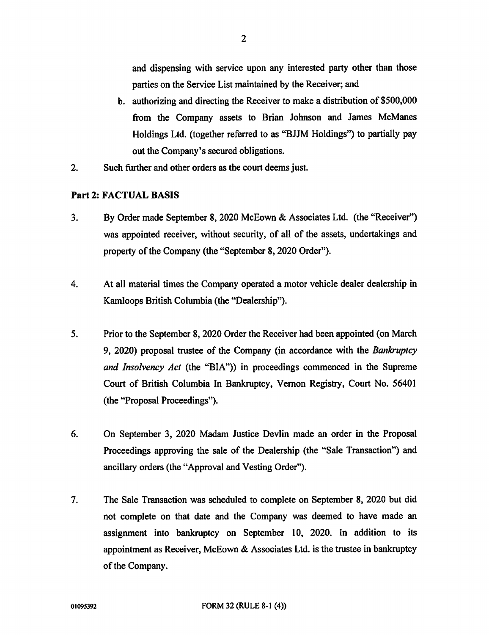and dispensing with service upon any interested party other than those parties on the Service List maintained by the Receiver; and

- b. authorizing and directing the Receiver to make a distribution of \$500,000 from the Company assets to Brian Johnson and James McManes Holdings Ltd. (together referred to as "BJJM Holdings") to partially pay out the Company's secured obligations.
- 2. Such further and other orders as the court deems just.

#### Part 2: FACTUAL BASIS

- 3. By Order made September 8, 2020 McEown & Associates Ltd. (the "Receiver") was appointed receiver, without security, of all of the assets, undertakings and property of the Company (the "September 8, 2020 Order").
- 4. At all material times the Company operated a motor vehicle dealer dealership in Kamloops British Columbia (the "Dealership").
- 5. Prior to the September 8, 2020 Order the Receiver had been appointed (on March 9, 2020) proposal trustee of the Company (in accordance with the Bankruptcy and Insolvency Act (the "BIA")) in proceedings commenced in the Supreme Court of British Columbia In Bankruptcy, Vernon Registry, Court No. 56401 (the "Proposal Proceedings").
- 6. On September 3, 2020 Madam Justice Devlin made an order in the Proposal Proceedings approving the sale of the Dealership (the "Sale Transaction") and ancillary orders (the "Approval and Vesting Order").
- 7. The Sale Transaction was scheduled to complete on September 8, 2020 but did not complete on that date and the Company was deemed to have made an assignment into bankruptcy on September 10, 2020. In addition to its appointment as Receiver, McEown & Associates Ltd. is the trustee in bankruptcy of the Company.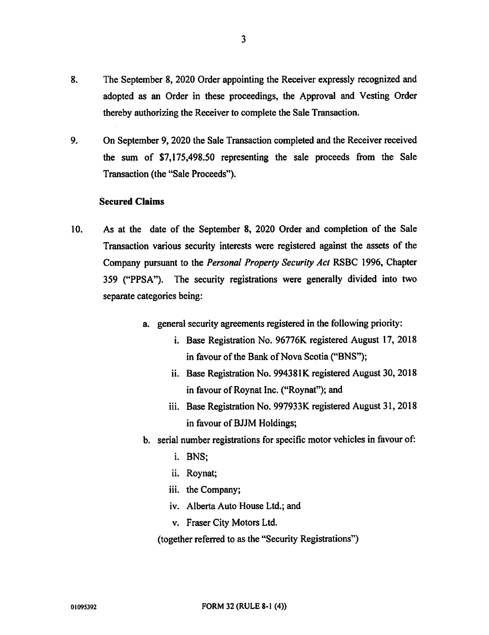- 8. The September 8, 2020 Order appointing the Receiver expressly recognized and adopted as an Order in these proceedings, the Approval and Vesting Order thereby authorizing the Receiver to complete the Sale Transaction.
- 9. On September 9, 2020 the Sale Transaction completed and the Receiver received the sum of \$7,175,498.50 representing the sale proceeds from the Sale Transaction (the "Sale Proceeds").

#### Secured Claims

- 10. As at the date of the September 8, 2020 Order and completion of the Sale Transaction various security interests were registered against the assets of the Company pursuant to the Personal Property Security Act RSBC 1996, Chapter 359 ("PPSA"). The security registrations were generally divided into two separate categories being:
	- a. general security agreements registered in the following priority:
		- i. Base Registration No. 96776K registered August 17, 2018 in favour of the Bank of Nova Scotia ("BNS");
		- ii. Base Registration No. 994381K registered August 30, 2018 in favour of Roynat Inc. ("Roynat"); and
		- iii. Base Registration No. 997933K registered August 31, 2018 in favour of BJJM Holdings;
	- b. serial number registrations for specific motor vehicles in favour of:
		- i. BNS;
		- ii. Roynat;
		- iii. the Company;
		- iv. Alberta Auto House Ltd.; and
		- v. Fraser City Motors Ltd.

(together referred to as the "Security Registrations")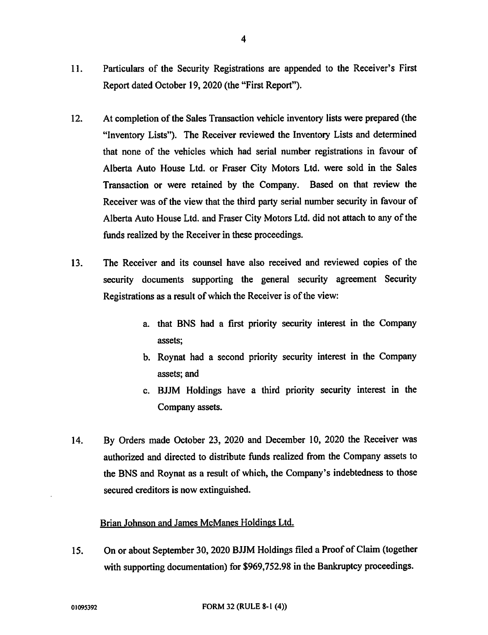- 11. Particulars of the Security Registrations are appended to the Receiver's First Report dated October 19, 2020 (the "First Report").
- 12. At completion of the Sales Transaction vehicle inventory lists were prepared (the "Inventory Lists"). The Receiver reviewed the Inventory Lists and determined that none of the vehicles which had serial number registrations in favour of Alberta Auto House Ltd. or Fraser City Motors Ltd. were sold in the Sales Transaction or were retained by the Company. Based on that review the Receiver was of the view that the third party serial number security in favour of Alberta Auto House Ltd. and Fraser City Motors Ltd. did not attach to any of the funds realized by the Receiver in these proceedings.
- 13. The Receiver and its counsel have also received and reviewed copies of the security documents supporting the general security agreement Security Registrations as a result of which the Receiver is of the view:
	- a. that BNS had a first priority security interest in the Company assets;
	- b. Roynat had a second priority security interest in the Company assets; and
	- c. BJJM Holdings have a third priority security interest in the Company assets.
- 14. By Orders made October 23, 2020 and December 10, 2020 the Receiver was authorized and directed to distribute funds realized from the Company assets to the BNS and Roynat as a result of which, the Company's indebtedness to those secured creditors is now extinguished.

# Brian Johnson and James McManes Holdings Ltd.

15. On or about September 30, 2020 BJJM Holdings filed a Proof of Claim (together with supporting documentation) for \$969,752.98 in the Bankruptcy proceedings.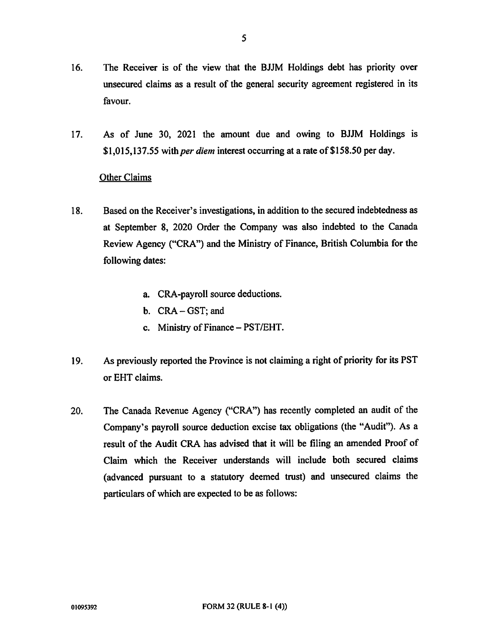- 16. The Receiver is of the view that the BJJM Holdings debt has priority over unsecured claims as a result of the general security agreement registered in its favour.
- 17. As of June 30, 2021 the amount due and owing to BJJM Holdings is \$1,015,137.55 with *per diem* interest occurring at a rate of \$158.50 per day.

# Other Claims

- 18. Based on the Receiver's investigations, in addition to the secured indebtedness as at September 8, 2020 Order the Company was also indebted to the Canada Review Agency ("CRA") and the Ministry of Finance, British Columbia for the following dates:
	- a. CRA-payroll source deductions.
	- b. CRA GST; and
	- c. Ministry of Finance PST/EHT.
- 19. As previously reported the Province is not claiming a right of priority for its PST or EHT claims.
- 20. The Canada Revenue Agency ("CRA") has recently completed an audit of the Company's payroll source deduction excise tax obligations (the "Audit"). As a result of the Audit CRA has advised that it will be filing an amended Proof of Claim which the Receiver understands will include both secured claims (advanced pursuant to a statutory deemed trust) and unsecured claims the particulars of which are expected to be as follows: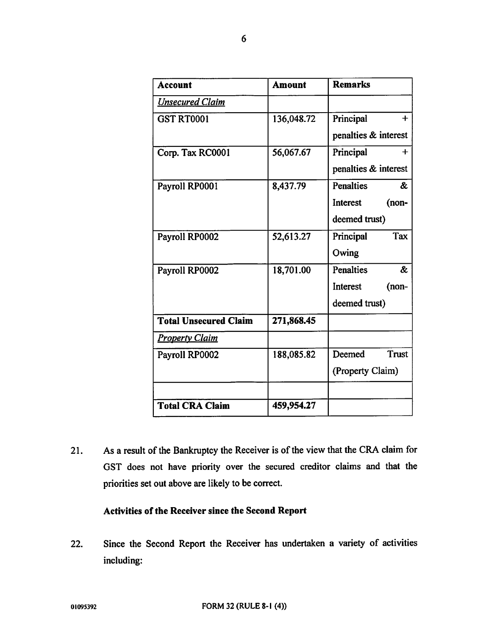| <b>Account</b>               | <b>Amount</b> | <b>Remarks</b>                   |
|------------------------------|---------------|----------------------------------|
| <b>Unsecured Claim</b>       |               |                                  |
| <b>GST RT0001</b>            | 136,048.72    | Principal<br>$+$                 |
|                              |               | penalties & interest             |
| Corp. Tax RC0001             | 56,067.67     | Principal<br>$+$                 |
|                              |               | penalties & interest             |
| Payroll RP0001               | 8,437.79      | <b>Penalties</b><br>&            |
|                              |               | (non-<br>Interest                |
|                              |               | deemed trust)                    |
| Payroll RP0002               | 52,613.27     | Tax<br>Principal                 |
|                              |               | Owing                            |
| Payroll RP0002               | 18,701.00     | <b>Penalties</b><br><b>&amp;</b> |
|                              |               | (non-<br>Interest                |
|                              |               | deemed trust)                    |
| <b>Total Unsecured Claim</b> | 271,868.45    |                                  |
| <b>Property Claim</b>        |               |                                  |
| Payroll RP0002               | 188,085.82    | <b>Trust</b><br>Deemed           |
|                              |               | (Property Claim)                 |
|                              |               |                                  |
| <b>Total CRA Claim</b>       | 459,954.27    |                                  |

21. As a result of the Bankruptcy the Receiver is of the view that the CRA claim for GST does not have priority over the secured creditor claims and that the priorities set out above are likely to be correct.

# Activities of the Receiver since the Second Report

22. Since the Second Report the Receiver has undertaken a variety of activities including: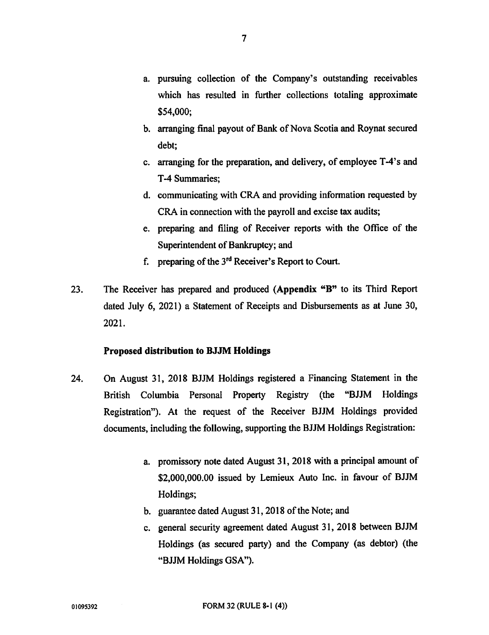- a. pursuing collection of the Company's outstanding receivables which has resulted in further collections totaling approximate \$54,000;
- b. arranging final payout of Bank of Nova Scotia and Roynat secured debt;
- c. arranging for the preparation, and delivery, of employee T-4's and T-4 Summaries;
- d. communicating with CRA and providing information requested by CRA in connection with the payroll and excise tax audits;
- e. preparing and filing of Receiver reports with the Office of the Superintendent of Bankruptcy; and
- f. preparing of the 3'd Receiver's Report to Court.
- 23. The Receiver has prepared and produced (Appendix "B" to its Third Report dated July 6, 2021) a Statement of Receipts and Disbursements as at June 30, 2021.

#### Proposed distribution to BJJM Holdings

- 24. On August 31, 2018 BJJM Holdings registered a Financing Statement in the British Columbia Personal Property Registry (the "BJJM Holdings Registration"). At the request of the Receiver BJJM Holdings provided documents, including the following, supporting the BJJM Holdings Registration:
	- a. promissory note dated August 31, 2018 with a principal amount of \$2,000,000.00 issued by Lemieux Auto Inc. in favour of BJJM Holdings;
	- b. guarantee dated August 31, 2018 of the Note; and
	- c. general security agreement dated August 31, 2018 between BJJM Holdings (as secured party) and the Company (as debtor) (the "BJJM Holdings GSA").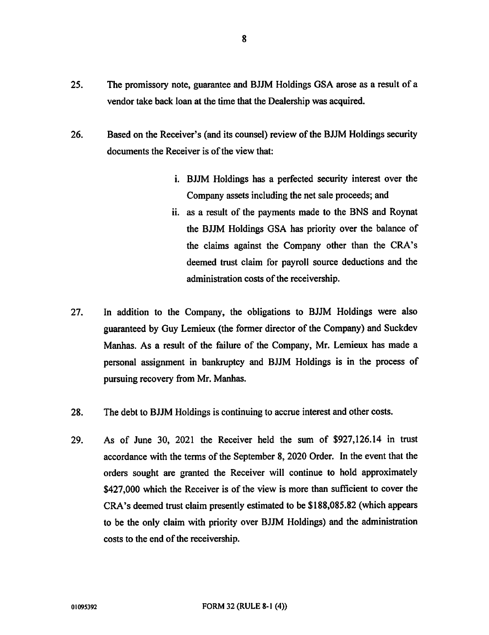- 25. The promissory note, guarantee and BJJM Holdings GSA arose as a result of a vendor take back loan at the time that the Dealership was acquired.
- 26. Based on the Receiver's (and its counsel) review of the BJJM Holdings security documents the Receiver is of the view that:
	- i. BJJM Holdings has a perfected security interest over the Company assets including the net sale proceeds; and
	- ii. as a result of the payments made to the BNS and Roynat the BJJM Holdings GSA has priority over the balance of the claims against the Company other than the CRA's deemed trust claim for payroll source deductions and the administration costs of the receivership.
- 27. In addition to the Company, the obligations to BJJM Holdings were also guaranteed by Guy Lemieux (the former director of the Company) and Suckdev Manhas. As a result of the failure of the Company, Mr. Lemieux has made a personal assignment in bankruptcy and BJJM Holdings is in the process of pursuing recovery from Mr. Manhas.
- 28. The debt to BJJM Holdings is continuing to accrue interest and other costs.
- 29. As of June 30, 2021 the Receiver held the sum of \$927,126.14 in trust accordance with the terms of the September 8, 2020 Order. In the event that the orders sought are granted the Receiver will continue to hold approximately \$427,000 which the Receiver is of the view is more than sufficient to cover the CRA's deemed trust claim presently estimated to be \$188,085.82 (which appears to be the only claim with priority over BJJM Holdings) and the administration costs to the end of the receivership.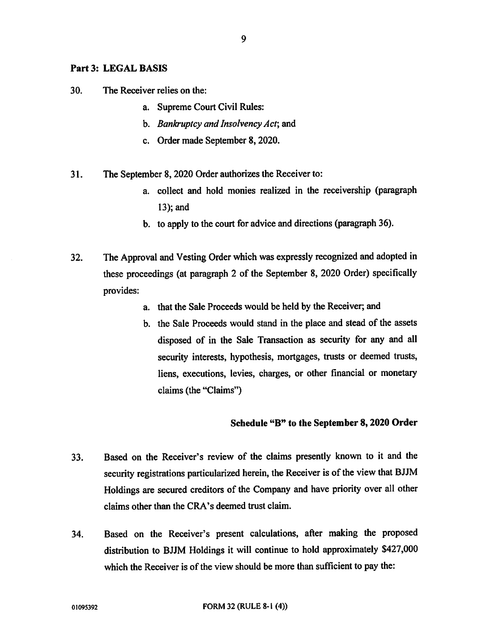#### Part 3: LEGAL BASIS

30. The Receiver relies on the:

- a. Supreme Court Civil Rules:
- b. Bankruptcy and Insolvency Act; and
- c. Order made September 8, 2020.
- 31. The September 8, 2020 Order authorizes the Receiver to:
	- a. collect and hold monies realized in the receivership (paragraph 13); and
	- b. to apply to the court for advice and directions (paragraph 36).
- 32. The Approval and Vesting Order which was expressly recognized and adopted in these proceedings (at paragraph 2 of the September 8, 2020 Order) specifically provides:
	- a. that the Sale Proceeds would be held by the Receiver; and
	- b. the Sale Proceeds would stand in the place and stead of the assets disposed of in the Sale Transaction as security for any and all security interests, hypothesis, mortgages, trusts or deemed trusts, liens, executions, levies, charges, or other financial or monetary claims (the "Claims")

# Schedule "B" to the September 8, 2020 Order

- 33. Based on the Receiver's review of the claims presently known to it and the security registrations particularized herein, the Receiver is of the view that BJJM Holdings are secured creditors of the Company and have priority over all other claims other than the CRA's deemed trust claim.
- 34. Based on the Receiver's present calculations, after making the proposed distribution to BJJM Holdings it will continue to hold approximately \$427,000 which the Receiver is of the view should be more than sufficient to pay the: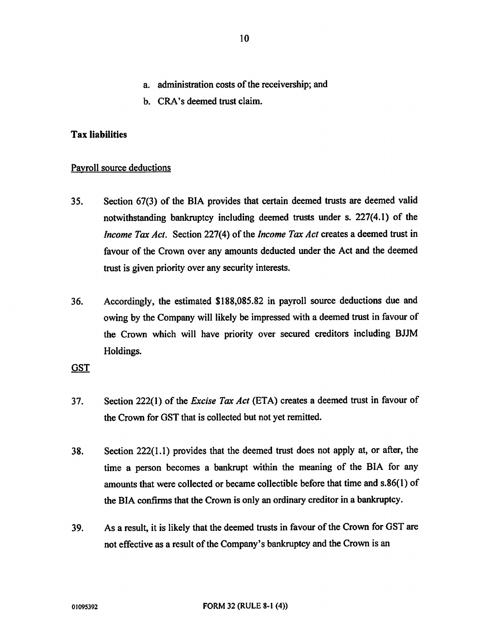- a. administration costs of the receivership; and
- b. CRA's deemed trust claim.

#### Tax liabilities

#### Payroll source deductions

- 35. Section 67(3) of the BIA provides that certain deemed trusts are deemed valid notwithstanding bankruptcy including deemed trusts under s. 227(4.1) of the Income Tax Act. Section 227(4) of the Income Tax Act creates a deemed trust in favour of the Crown over any amounts deducted under the Act and the deemed trust is given priority over any security interests.
- 36. Accordingly, the estimated \$188,085.82 in payroll source deductions due and owing by the Company will likely be impressed with a deemed trust in favour of the Crown which will have priority over secured creditors including BJJM Holdings.

# **GST**

- 37. Section 222(1) of the *Excise Tax Act* (ETA) creates a deemed trust in favour of the Crown for GST that is collected but not yet remitted.
- 38. Section 222(1.1) provides that the deemed trust does not apply at, or after, the time a person becomes a bankrupt within the meaning of the BIA for any amounts that were collected or became collectible before that time and s.86(1) of the BIA confirms that the Crown is only an ordinary creditor in a bankruptcy.
- 39. As a result, it is likely that the deemed trusts in favour of the Crown for GST are not effective as a result of the Company's bankruptcy and the Crown is an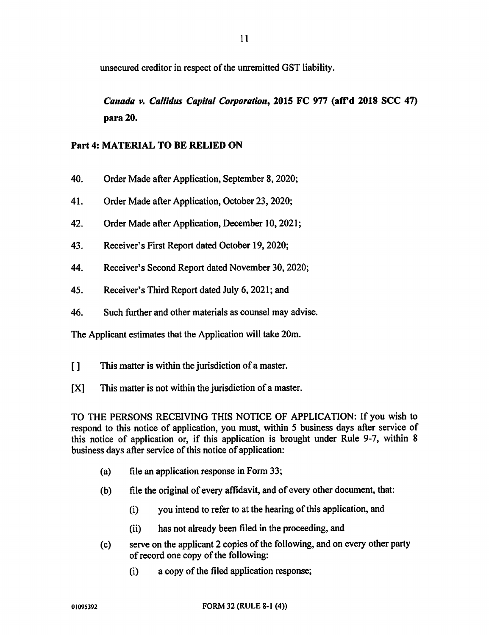unsecured creditor in respect of the unremitted GST liability.

Canada v. Callidus Capital Corporation, 2015 FC 977 (aff'd 2018 SCC 47) para 20.

# Part 4: MATERIAL TO BE RELIED ON

- 40. Order Made after Application, September 8, 2020;
- 41. Order Made after Application, October 23, 2020;
- 42. Order Made after Application, December 10, 2021;
- 43. Receiver's First Report dated October 19, 2020;
- 44. Receiver's Second Report dated November 30, 2020;
- 45. Receiver's Third Report dated July 6, 2021; and
- 46. Such further and other materials as counsel may advise.

The Applicant estimates that the Application will take 20m.

- [] This matter is within the jurisdiction of a master.
- [X] This matter is not within the jurisdiction of a master.

TO THE PERSONS RECEIVING THIS NOTICE OF APPLICATION: If you wish to respond to this notice of application, you must, within 5 business days after service of this notice of application or, if this application is brought under Rule 9-7, within 8 business days after service of this notice of application:

- (a) file an application response in Form 33;
- (b) file the original of every affidavit, and of every other document, that:
	- (i) you intend to refer to at the hearing of this application, and
	- (ii) has not already been filed in the proceeding, and
- (c) serve on the applicant 2 copies of the following, and on every other party of record one copy of the following:
	- (i) a copy of the filed application response;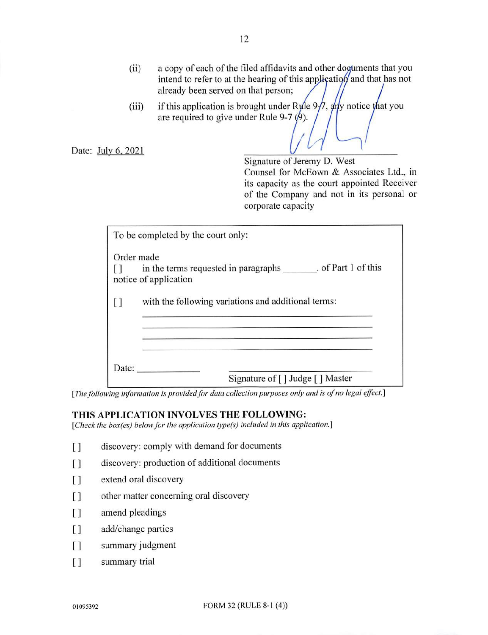- (ii) a copy of each of the filed affidavits and other doguments that you intend to refer to at the hearing of this application and that has not already been served on that person;
- (iii) if this application is brought under Ryle  $9\frac{1}{7}$ ,  $\frac{1}{4}$  if you notice that you are required to give under Rule 9-7  $(\cancel{9})$ .

Date: July 6, 2021

Signature of Jeremy D. West Counsel for McEown & Associates Ltd., in its capacity as the court appointed Receiver of the Company and not in its personal or corporate capacity

|       | To be completed by the court only:                                                       |
|-------|------------------------------------------------------------------------------------------|
|       | Order made                                                                               |
|       | in the terms requested in paragraphs _______. of Part 1 of this<br>notice of application |
|       | with the following variations and additional terms:                                      |
|       |                                                                                          |
|       |                                                                                          |
| Date: |                                                                                          |
|       | Signature of [] Judge [] Master                                                          |

[The following information is provided for data collection purposes only and is of no legal effect.]

#### THIS APPLICATION INVOLVES THE FOLLOWING:

[Check the box(es) below for the application type(s) included in this application.]

- [1] discovery: comply with demand for documents
- [] discovery: production of additional documents
- [] extend oral discovery
- [] other matter concerning oral discovery
- [] amend pleadings
- [] add/change parties
- [] summary judgment
- [] summary trial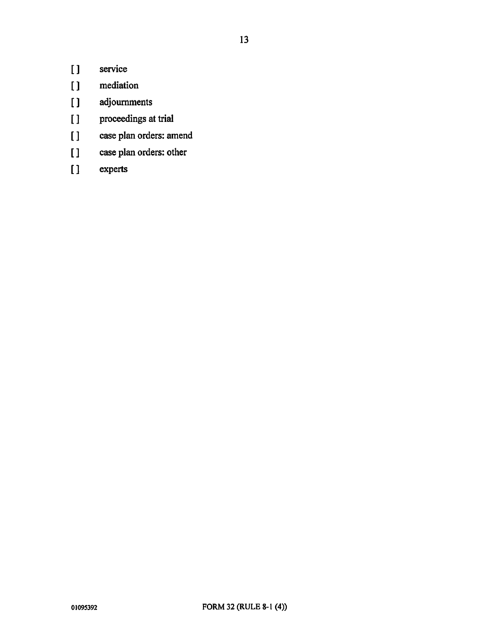- 
- [] service<br>[] mediation mediation
- [ ] adjournments
- [ ] proceedings at trial
- [] case plan orders: amend
- [] case plan orders: other
- [ ] experts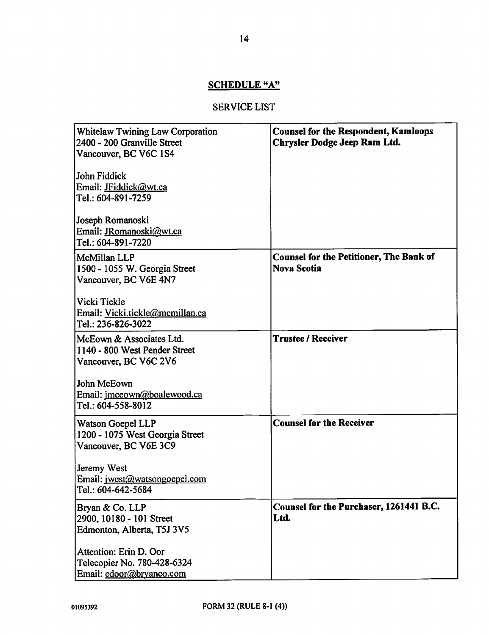# SCHEDULE "A"

# SERVICE LIST

| <b>Whitelaw Twining Law Corporation</b><br>2400 - 200 Granville Street<br>Vancouver, BC V6C 1S4<br>John Fiddick<br>Email: JFiddick@wt.ca<br>Tel.: 604-891-7259<br>Joseph Romanoski<br>Email: JRomanoski@wt.ca<br>Tel.: 604-891-7220 | <b>Counsel for the Respondent, Kamloops</b><br>Chrysler Dodge Jeep Ram Ltd. |
|-------------------------------------------------------------------------------------------------------------------------------------------------------------------------------------------------------------------------------------|-----------------------------------------------------------------------------|
| McMillan LLP<br>1500 - 1055 W. Georgia Street<br>Vancouver, BC V6E 4N7<br>Vicki Tickle<br>Email: Vicki.tickle@mcmillan.ca<br>Tel.: 236-826-3022                                                                                     | <b>Counsel for the Petitioner, The Bank of</b><br><b>Nova Scotia</b>        |
| McEown & Associates Ltd.<br>1140 - 800 West Pender Street<br>Vancouver, BC V6C 2V6<br>John McEown<br>Email: jmceown@boalewood.ca<br>Tel.: 604-558-8012                                                                              | <b>Trustee / Receiver</b>                                                   |
| <b>Watson Goepel LLP</b><br>1200 - 1075 West Georgia Street<br>Vancouver, BC V6E 3C9<br>Jeremy West<br>Email: jwest@watsongoepel.com<br>Tel.: 604-642-5684                                                                          | <b>Counsel for the Receiver</b>                                             |
| Bryan & Co. LLP<br>2900, 10180 - 101 Street<br>Edmonton, Alberta, T5J 3V5<br>Attention: Erin D. Oor<br>Telecopier No. 780-428-6324<br>Email: edoor@bryanco.com                                                                      | Counsel for the Purchaser, 1261441 B.C.<br>Ltd.                             |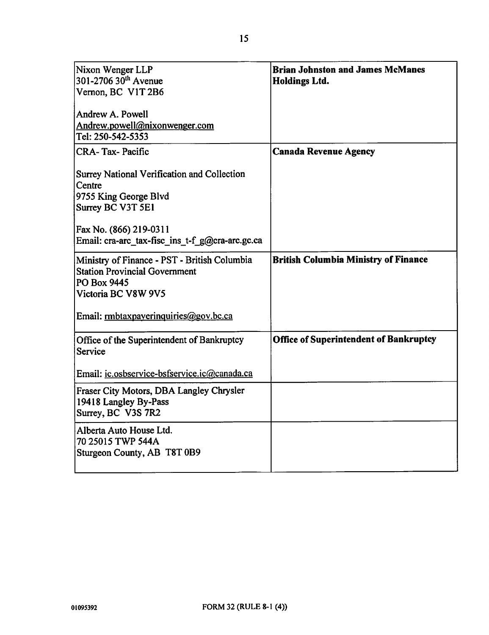| Nixon Wenger LLP<br>301-2706 $30^{th}$ Avenue<br>Vernon, BC V1T 2B6<br>Andrew A. Powell<br>Andrew.powell@nixonwenger.com<br>Tel: 250-542-5353 | <b>Brian Johnston and James McManes</b><br><b>Holdings Ltd.</b> |
|-----------------------------------------------------------------------------------------------------------------------------------------------|-----------------------------------------------------------------|
| <b>CRA-Tax-Pacific</b>                                                                                                                        | <b>Canada Revenue Agency</b>                                    |
| Surrey National Verification and Collection<br>Centre<br>9755 King George Blvd<br>Surrey BC V3T 5E1                                           |                                                                 |
| Fax No. (866) 219-0311<br>Email: cra-arc tax-fisc ins t-f g@cra-arc.gc.ca                                                                     |                                                                 |
| Ministry of Finance - PST - British Columbia<br><b>Station Provincial Government</b><br>PO Box 9445<br>Victoria BC V8W 9V5                    | <b>British Columbia Ministry of Finance</b>                     |
| Email: rmbtaxpayerinquiries@gov.bc.ca                                                                                                         |                                                                 |
| Office of the Superintendent of Bankruptcy<br>Service                                                                                         | <b>Office of Superintendent of Bankruptcy</b>                   |
| Email: ic.osbservice-bsfservice.ic@canada.ca                                                                                                  |                                                                 |
| Fraser City Motors, DBA Langley Chrysler<br>19418 Langley By-Pass<br>Surrey, BC V3S 7R2                                                       |                                                                 |
| Alberta Auto House Ltd.<br>70 25015 TWP 544A<br>Sturgeon County, AB T8T 0B9                                                                   |                                                                 |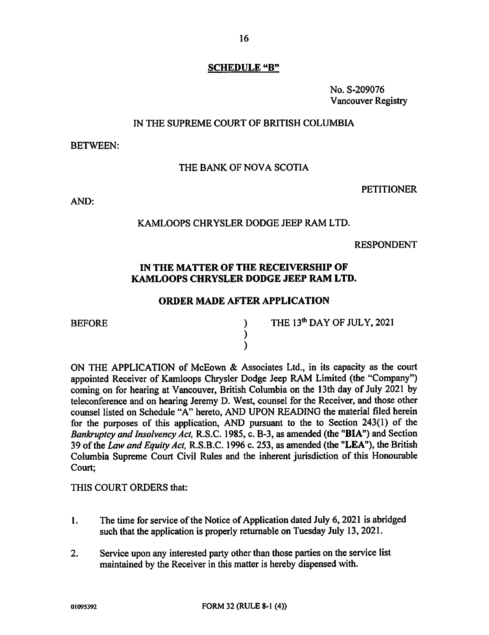# SCHEDULE "B"

No. S-209076 Vancouver Registry

# IN THE SUPREME COURT OF BRITISH COLUMBIA

BETWEEN:

#### THE BANK OF NOVA SCOTIA

**PETITIONER** 

AND:

# KAMLOOPS CHRYSLER DODGE JEEP RAM LTD.

RESPONDENT

# IN THE MATTER OF THE RECEIVERSHIP OF KAMLOOPS CHRYSLER DODGE JEEP RAM LTD.

# ORDER MADE AFTER APPLICATION

BEFORE )<br>)<br>) )

THE 13<sup>th</sup> DAY OF JULY, 2021

ON THE APPLICATION of McEown & Associates Ltd., in its capacity as the court appointed Receiver of Kamloops Chrysler Dodge Jeep RAM Limited (the "Company") coming on for hearing at Vancouver, British Columbia on the 13th day of July 2021 by teleconference and on hearing Jeremy D. West, counsel for the Receiver, and those other counsel listed on Schedule "A" hereto, AND UPON READING the material filed herein for the purposes of this application, AND pursuant to the to Section 243(1) of the Bankruptcy and Insolvency Act, R.S.C. 1985, c. B-3, as amended (the "BIA") and Section 39 of the Law and Equity Act, R.S.B.C. 1996 c. 253, as amended (the "LEA"), the British Columbia Supreme Court Civil Rules and the inherent jurisdiction of this Honourable Court;

THIS COURT ORDERS that:

- 1. The time for service of the Notice of Application dated July 6, 2021 is abridged such that the application is properly returnable on Tuesday July 13, 2021.
- 2. Service upon any interested party other than those parties on the service list maintained by the Receiver in this matter is hereby dispensed with.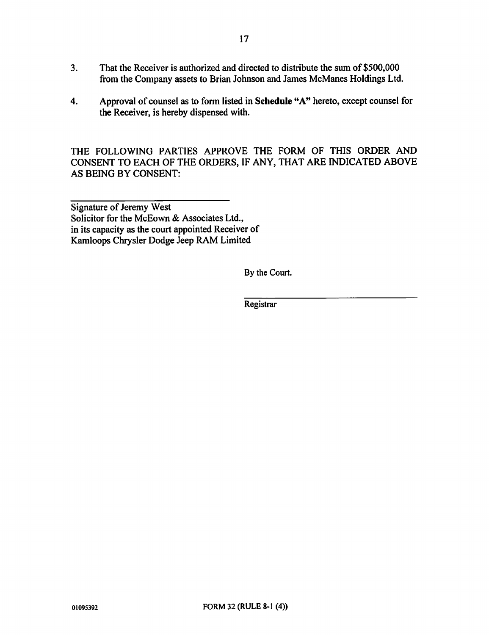- 3. That the Receiver is authorized and directed to distribute the sum of \$500,000 from the Company assets to Brian Johnson and James McManes Holdings Ltd.
- 4. Approval of counsel as to form listed in Schedule "A" hereto, except counsel for the Receiver, is hereby dispensed with.

THE FOLLOWING PARTIES APPROVE THE FORM OF THIS ORDER AND CONSENT TO EACH OF THE ORDERS, IF ANY, THAT ARE INDICATED ABOVE AS BEING BY CONSENT:

Signature of Jeremy West Solicitor for the McEown & Associates Ltd., in its capacity as the court appointed Receiver of Kamloops Chrysler Dodge Jeep RAM Limited

By the Court.

Registrar